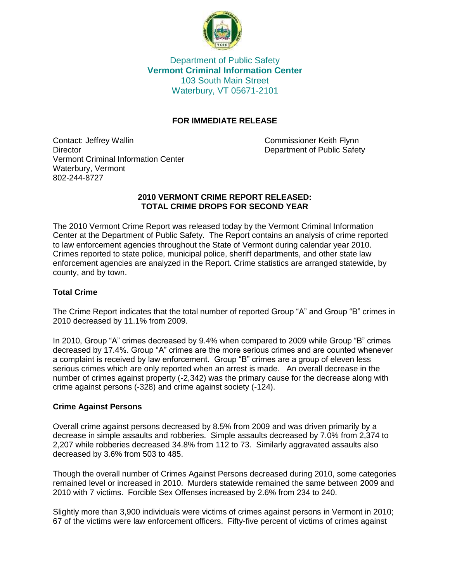

Department of Public Safety **Vermont Criminal Information Center** 103 South Main Street Waterbury, VT 05671-2101

# **FOR IMMEDIATE RELEASE**

Contact: Jeffrey Wallin Commissioner Keith Flynn Director Director **Department of Public Safety** Vermont Criminal Information Center Waterbury, Vermont 802-244-8727

#### **2010 VERMONT CRIME REPORT RELEASED: TOTAL CRIME DROPS FOR SECOND YEAR**

The 2010 Vermont Crime Report was released today by the Vermont Criminal Information Center at the Department of Public Safety. The Report contains an analysis of crime reported to law enforcement agencies throughout the State of Vermont during calendar year 2010. Crimes reported to state police, municipal police, sheriff departments, and other state law enforcement agencies are analyzed in the Report. Crime statistics are arranged statewide, by county, and by town.

## **Total Crime**

The Crime Report indicates that the total number of reported Group "A" and Group "B" crimes in 2010 decreased by 11.1% from 2009.

In 2010, Group "A" crimes decreased by 9.4% when compared to 2009 while Group "B" crimes decreased by 17.4%. Group "A" crimes are the more serious crimes and are counted whenever a complaint is received by law enforcement. Group "B" crimes are a group of eleven less serious crimes which are only reported when an arrest is made. An overall decrease in the number of crimes against property (-2,342) was the primary cause for the decrease along with crime against persons (-328) and crime against society (-124).

## **Crime Against Persons**

Overall crime against persons decreased by 8.5% from 2009 and was driven primarily by a decrease in simple assaults and robberies. Simple assaults decreased by 7.0% from 2,374 to 2,207 while robberies decreased 34.8% from 112 to 73. Similarly aggravated assaults also decreased by 3.6% from 503 to 485.

Though the overall number of Crimes Against Persons decreased during 2010, some categories remained level or increased in 2010. Murders statewide remained the same between 2009 and 2010 with 7 victims. Forcible Sex Offenses increased by 2.6% from 234 to 240.

Slightly more than 3,900 individuals were victims of crimes against persons in Vermont in 2010; 67 of the victims were law enforcement officers. Fifty-five percent of victims of crimes against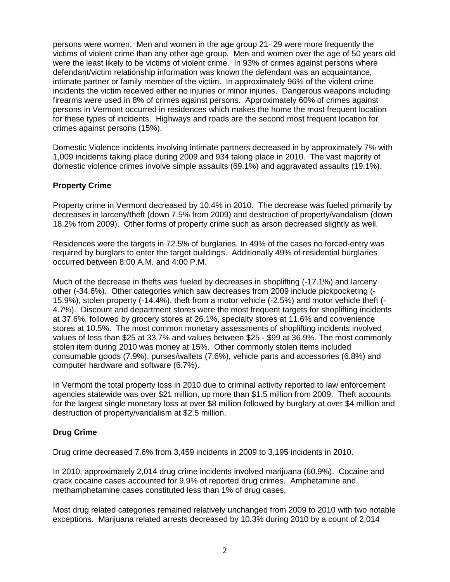persons were women. Men and women in the age group 21- 29 were more frequently the victims of violent crime than any other age group. Men and women over the age of 50 years old were the least likely to be victims of violent crime. In 93% of crimes against persons where defendant/victim relationship information was known the defendant was an acquaintance, intimate partner or family member of the victim. In approximately 96% of the violent crime incidents the victim received either no injuries or minor injuries. Dangerous weapons including firearms were used in 8% of crimes against persons. Approximately 60% of crimes against persons in Vermont occurred in residences which makes the home the most frequent location for these types of incidents. Highways and roads are the second most frequent location for crimes against persons (15%).

Domestic Violence incidents involving intimate partners decreased in by approximately 7% with 1,009 incidents taking place during 2009 and 934 taking place in 2010. The vast majority of domestic violence crimes involve simple assaults (69.1%) and aggravated assaults (19.1%).

## **Property Crime**

Property crime in Vermont decreased by 10.4% in 2010. The decrease was fueled primarily by decreases in larceny/theft (down 7.5% from 2009) and destruction of property/vandalism (down 18.2% from 2009). Other forms of property crime such as arson decreased slightly as well.

Residences were the targets in 72.5% of burglaries. In 49% of the cases no forced-entry was required by burglars to enter the target buildings. Additionally 49% of residential burglaries occurred between 8:00 A.M. and 4:00 P.M.

Much of the decrease in thefts was fueled by decreases in shoplifting (-17.1%) and larceny other (-34.6%). Other categories which saw decreases from 2009 include pickpocketing (- 15.9%), stolen property (-14.4%), theft from a motor vehicle (-2.5%) and motor vehicle theft (- 4.7%). Discount and department stores were the most frequent targets for shoplifting incidents at 37.6%, followed by grocery stores at 26.1%, specialty stores at 11.6% and convenience stores at 10.5%. The most common monetary assessments of shoplifting incidents involved values of less than \$25 at 33.7% and values between \$25 - \$99 at 36.9%. The most commonly stolen item during 2010 was money at 15%. Other commonly stolen items included consumable goods (7.9%), purses/wallets (7.6%), vehicle parts and accessories (6.8%) and computer hardware and software (6.7%).

In Vermont the total property loss in 2010 due to criminal activity reported to law enforcement agencies statewide was over \$21 million, up more than \$1.5 million from 2009. Theft accounts for the largest single monetary loss at over \$8 million followed by burglary at over \$4 million and destruction of property/vandalism at \$2.5 million.

# **Drug Crime**

Drug crime decreased 7.6% from 3,459 incidents in 2009 to 3,195 incidents in 2010.

In 2010, approximately 2,014 drug crime incidents involved marijuana (60.9%). Cocaine and crack cocaine cases accounted for 9.9% of reported drug crimes. Amphetamine and methamphetamine cases constituted less than 1% of drug cases.

Most drug related categories remained relatively unchanged from 2009 to 2010 with two notable exceptions. Marijuana related arrests decreased by 10.3% during 2010 by a count of 2,014